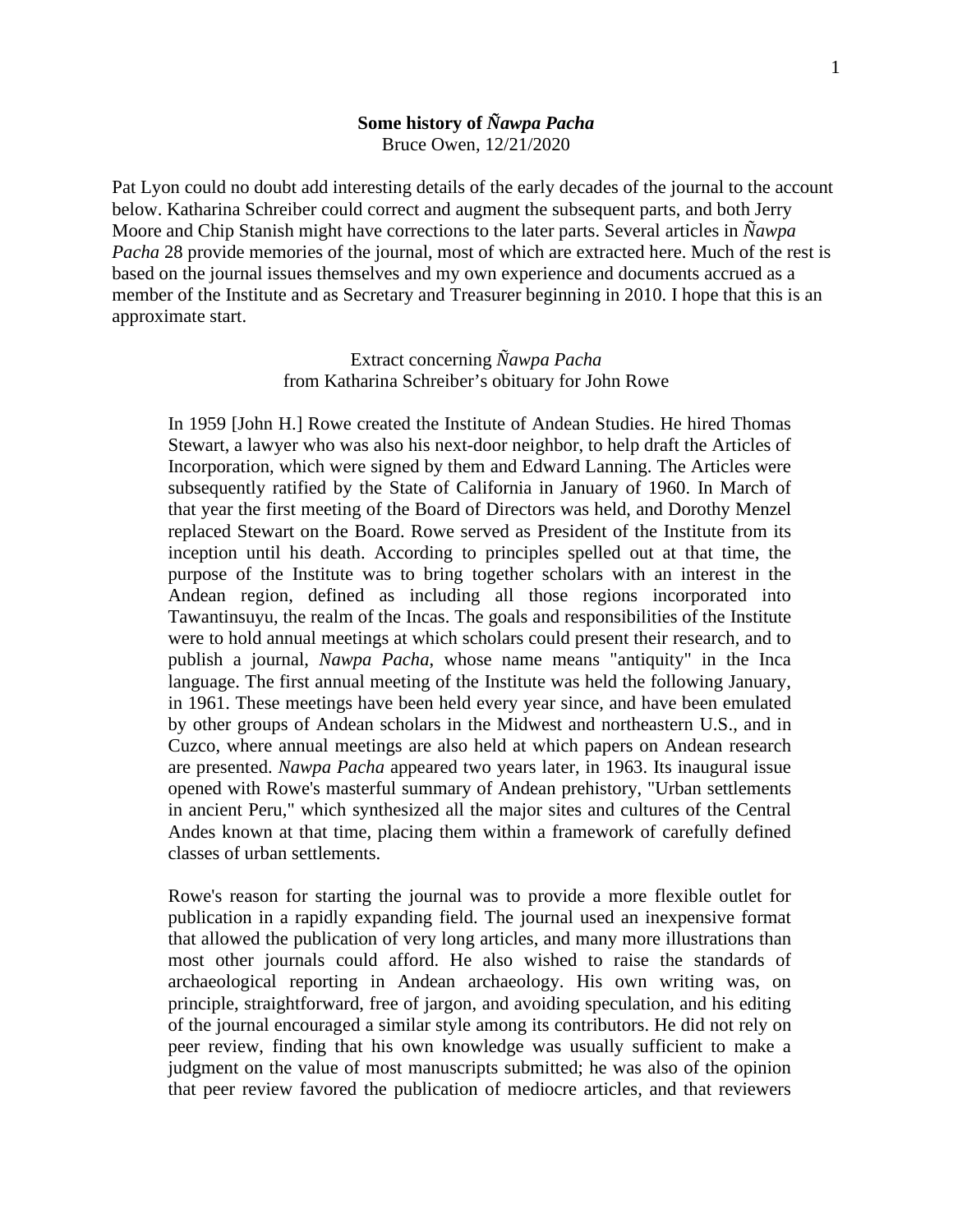# **Some history of** *Ñawpa Pacha* Bruce Owen, 12/21/2020

Pat Lyon could no doubt add interesting details of the early decades of the journal to the account below. Katharina Schreiber could correct and augment the subsequent parts, and both Jerry Moore and Chip Stanish might have corrections to the later parts. Several articles in *Ñawpa Pacha* 28 provide memories of the journal, most of which are extracted here. Much of the rest is based on the journal issues themselves and my own experience and documents accrued as a member of the Institute and as Secretary and Treasurer beginning in 2010. I hope that this is an approximate start.

# Extract concerning *Ñawpa Pacha* from Katharina Schreiber's obituary for John Rowe

In 1959 [John H.] Rowe created the Institute of Andean Studies. He hired Thomas Stewart, a lawyer who was also his next-door neighbor, to help draft the Articles of Incorporation, which were signed by them and Edward Lanning. The Articles were subsequently ratified by the State of California in January of 1960. In March of that year the first meeting of the Board of Directors was held, and Dorothy Menzel replaced Stewart on the Board. Rowe served as President of the Institute from its inception until his death. According to principles spelled out at that time, the purpose of the Institute was to bring together scholars with an interest in the Andean region, defined as including all those regions incorporated into Tawantinsuyu, the realm of the Incas. The goals and responsibilities of the Institute were to hold annual meetings at which scholars could present their research, and to publish a journal, *Nawpa Pacha*, whose name means "antiquity" in the Inca language. The first annual meeting of the Institute was held the following January, in 1961. These meetings have been held every year since, and have been emulated by other groups of Andean scholars in the Midwest and northeastern U.S., and in Cuzco, where annual meetings are also held at which papers on Andean research are presented. *Nawpa Pacha* appeared two years later, in 1963. Its inaugural issue opened with Rowe's masterful summary of Andean prehistory, "Urban settlements in ancient Peru," which synthesized all the major sites and cultures of the Central Andes known at that time, placing them within a framework of carefully defined classes of urban settlements.

Rowe's reason for starting the journal was to provide a more flexible outlet for publication in a rapidly expanding field. The journal used an inexpensive format that allowed the publication of very long articles, and many more illustrations than most other journals could afford. He also wished to raise the standards of archaeological reporting in Andean archaeology. His own writing was, on principle, straightforward, free of jargon, and avoiding speculation, and his editing of the journal encouraged a similar style among its contributors. He did not rely on peer review, finding that his own knowledge was usually sufficient to make a judgment on the value of most manuscripts submitted; he was also of the opinion that peer review favored the publication of mediocre articles, and that reviewers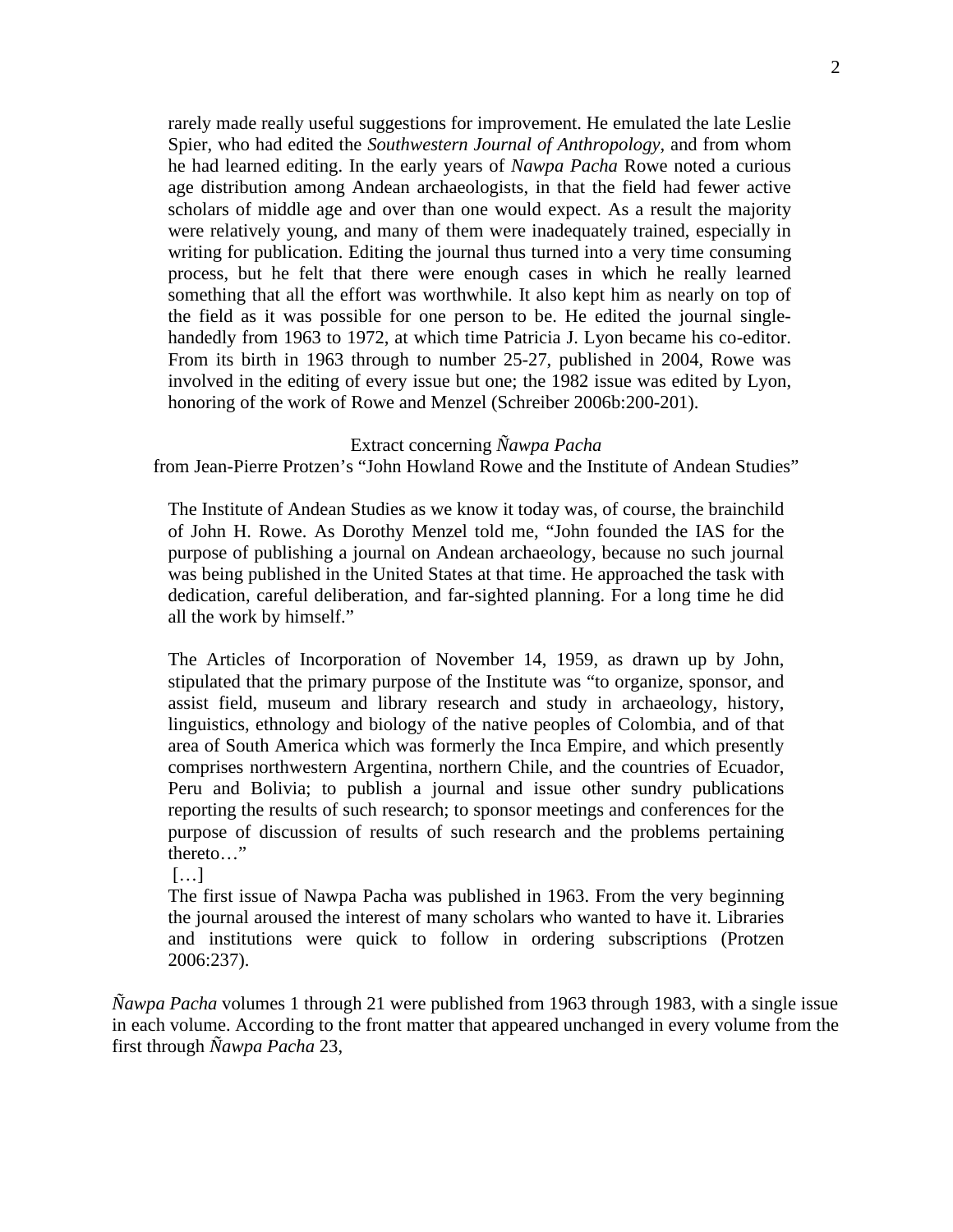rarely made really useful suggestions for improvement. He emulated the late Leslie Spier, who had edited the *Southwestern Journal of Anthropology,* and from whom he had learned editing. In the early years of *Nawpa Pacha* Rowe noted a curious age distribution among Andean archaeologists, in that the field had fewer active scholars of middle age and over than one would expect. As a result the majority were relatively young, and many of them were inadequately trained, especially in writing for publication. Editing the journal thus turned into a very time consuming process, but he felt that there were enough cases in which he really learned something that all the effort was worthwhile. It also kept him as nearly on top of the field as it was possible for one person to be. He edited the journal singlehandedly from 1963 to 1972, at which time Patricia J. Lyon became his co-editor. From its birth in 1963 through to number 25-27, published in 2004, Rowe was involved in the editing of every issue but one; the 1982 issue was edited by Lyon, honoring of the work of Rowe and Menzel (Schreiber 2006b:200-201).

## Extract concerning *Ñawpa Pacha*

from Jean-Pierre Protzen's "John Howland Rowe and the Institute of Andean Studies"

The Institute of Andean Studies as we know it today was, of course, the brainchild of John H. Rowe. As Dorothy Menzel told me, "John founded the IAS for the purpose of publishing a journal on Andean archaeology, because no such journal was being published in the United States at that time. He approached the task with dedication, careful deliberation, and far-sighted planning. For a long time he did all the work by himself."

The Articles of Incorporation of November 14, 1959, as drawn up by John, stipulated that the primary purpose of the Institute was "to organize, sponsor, and assist field, museum and library research and study in archaeology, history, linguistics, ethnology and biology of the native peoples of Colombia, and of that area of South America which was formerly the Inca Empire, and which presently comprises northwestern Argentina, northern Chile, and the countries of Ecuador, Peru and Bolivia; to publish a journal and issue other sundry publications reporting the results of such research; to sponsor meetings and conferences for the purpose of discussion of results of such research and the problems pertaining thereto…"

 $[...]$ 

The first issue of Nawpa Pacha was published in 1963. From the very beginning the journal aroused the interest of many scholars who wanted to have it. Libraries and institutions were quick to follow in ordering subscriptions (Protzen 2006:237).

*Ñawpa Pacha* volumes 1 through 21 were published from 1963 through 1983, with a single issue in each volume. According to the front matter that appeared unchanged in every volume from the first through *Ñawpa Pacha* 23,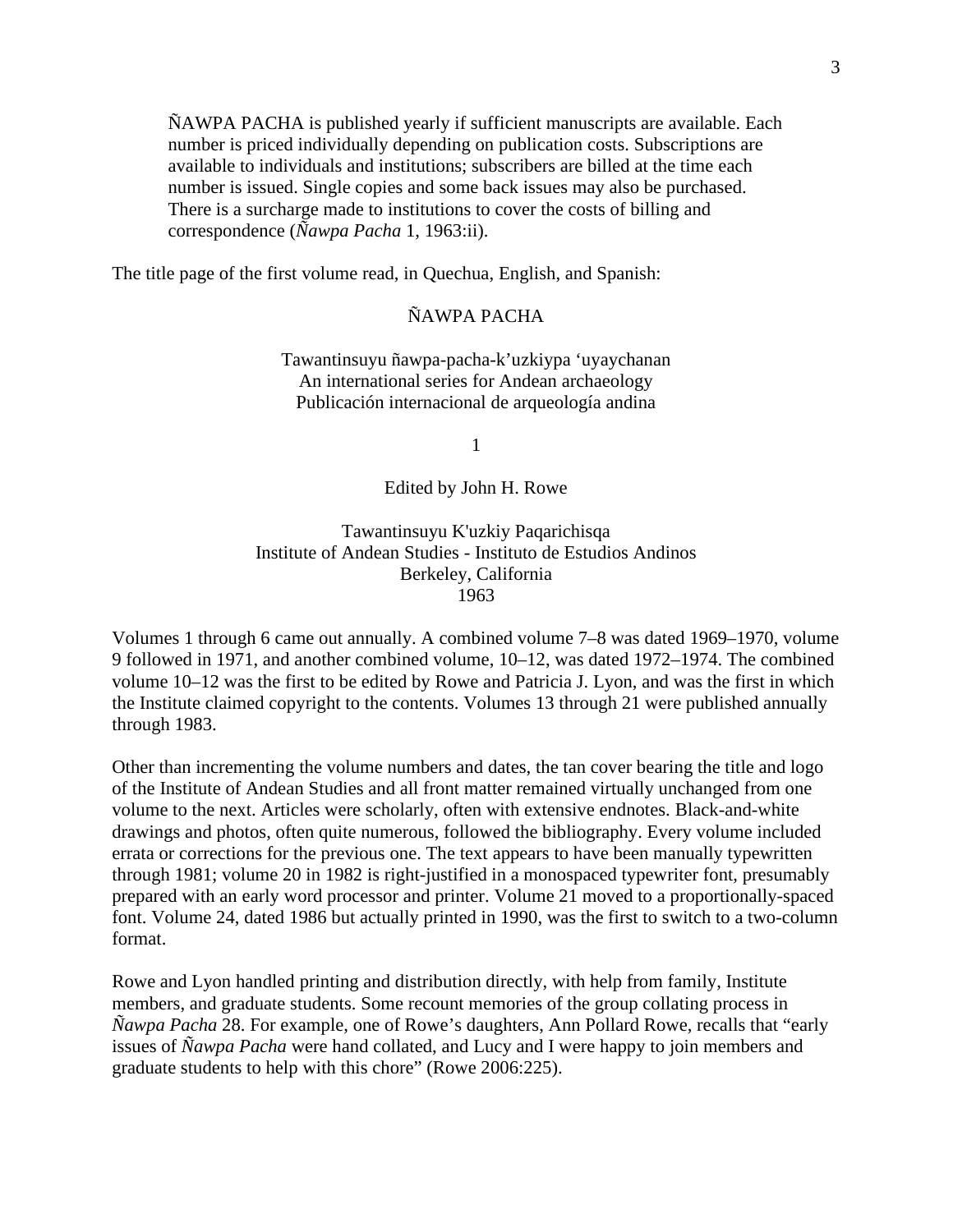ÑAWPA PACHA is published yearly if sufficient manuscripts are available. Each number is priced individually depending on publication costs. Subscriptions are available to individuals and institutions; subscribers are billed at the time each number is issued. Single copies and some back issues may also be purchased. There is a surcharge made to institutions to cover the costs of billing and correspondence (*Ñawpa Pacha* 1, 1963:ii).

The title page of the first volume read, in Quechua, English, and Spanish:

# ÑAWPA PACHA

Tawantinsuyu ñawpa-pacha-k'uzkiypa 'uyaychanan An international series for Andean archaeology Publicación internacional de arqueología andina

1

Edited by John H. Rowe

Tawantinsuyu K'uzkiy Paqarichisqa Institute of Andean Studies - Instituto de Estudios Andinos Berkeley, California 1963

Volumes 1 through 6 came out annually. A combined volume 7–8 was dated 1969–1970, volume 9 followed in 1971, and another combined volume, 10–12, was dated 1972–1974. The combined volume 10–12 was the first to be edited by Rowe and Patricia J. Lyon, and was the first in which the Institute claimed copyright to the contents. Volumes 13 through 21 were published annually through 1983.

Other than incrementing the volume numbers and dates, the tan cover bearing the title and logo of the Institute of Andean Studies and all front matter remained virtually unchanged from one volume to the next. Articles were scholarly, often with extensive endnotes. Black-and-white drawings and photos, often quite numerous, followed the bibliography. Every volume included errata or corrections for the previous one. The text appears to have been manually typewritten through 1981; volume 20 in 1982 is right-justified in a monospaced typewriter font, presumably prepared with an early word processor and printer. Volume 21 moved to a proportionally-spaced font. Volume 24, dated 1986 but actually printed in 1990, was the first to switch to a two-column format.

Rowe and Lyon handled printing and distribution directly, with help from family, Institute members, and graduate students. Some recount memories of the group collating process in *Ñawpa Pacha* 28. For example, one of Rowe's daughters, Ann Pollard Rowe, recalls that "early issues of *Ñawpa Pacha* were hand collated, and Lucy and I were happy to join members and graduate students to help with this chore" (Rowe 2006:225).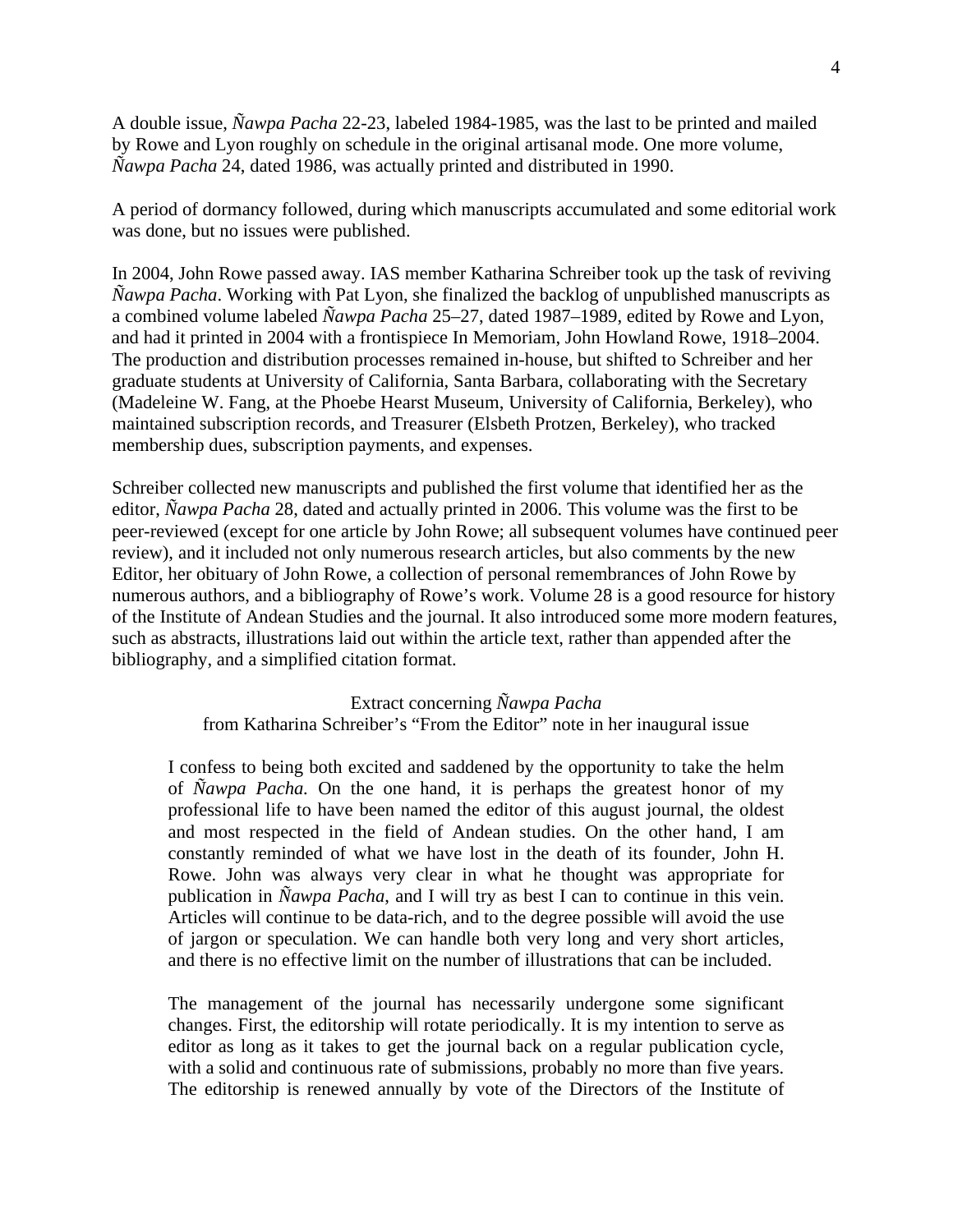A double issue, *Ñawpa Pacha* 22-23, labeled 1984-1985, was the last to be printed and mailed by Rowe and Lyon roughly on schedule in the original artisanal mode. One more volume, *Ñawpa Pacha* 24, dated 1986, was actually printed and distributed in 1990.

A period of dormancy followed, during which manuscripts accumulated and some editorial work was done, but no issues were published.

In 2004, John Rowe passed away. IAS member Katharina Schreiber took up the task of reviving *Ñawpa Pacha*. Working with Pat Lyon, she finalized the backlog of unpublished manuscripts as a combined volume labeled *Ñawpa Pacha* 25–27, dated 1987–1989, edited by Rowe and Lyon, and had it printed in 2004 with a frontispiece In Memoriam, John Howland Rowe, 1918–2004. The production and distribution processes remained in-house, but shifted to Schreiber and her graduate students at University of California, Santa Barbara, collaborating with the Secretary (Madeleine W. Fang, at the Phoebe Hearst Museum, University of California, Berkeley), who maintained subscription records, and Treasurer (Elsbeth Protzen, Berkeley), who tracked membership dues, subscription payments, and expenses.

Schreiber collected new manuscripts and published the first volume that identified her as the editor, *Ñawpa Pacha* 28, dated and actually printed in 2006. This volume was the first to be peer-reviewed (except for one article by John Rowe; all subsequent volumes have continued peer review), and it included not only numerous research articles, but also comments by the new Editor, her obituary of John Rowe, a collection of personal remembrances of John Rowe by numerous authors, and a bibliography of Rowe's work. Volume 28 is a good resource for history of the Institute of Andean Studies and the journal. It also introduced some more modern features, such as abstracts, illustrations laid out within the article text, rather than appended after the bibliography, and a simplified citation format.

> Extract concerning *Ñawpa Pacha* from Katharina Schreiber's "From the Editor" note in her inaugural issue

I confess to being both excited and saddened by the opportunity to take the helm of *Ñawpa Pacha.* On the one hand, it is perhaps the greatest honor of my professional life to have been named the editor of this august journal, the oldest and most respected in the field of Andean studies. On the other hand, I am constantly reminded of what we have lost in the death of its founder, John H. Rowe. John was always very clear in what he thought was appropriate for publication in *Ñawpa Pacha*, and I will try as best I can to continue in this vein. Articles will continue to be data-rich, and to the degree possible will avoid the use of jargon or speculation. We can handle both very long and very short articles, and there is no effective limit on the number of illustrations that can be included.

The management of the journal has necessarily undergone some significant changes. First, the editorship will rotate periodically. It is my intention to serve as editor as long as it takes to get the journal back on a regular publication cycle, with a solid and continuous rate of submissions, probably no more than five years. The editorship is renewed annually by vote of the Directors of the Institute of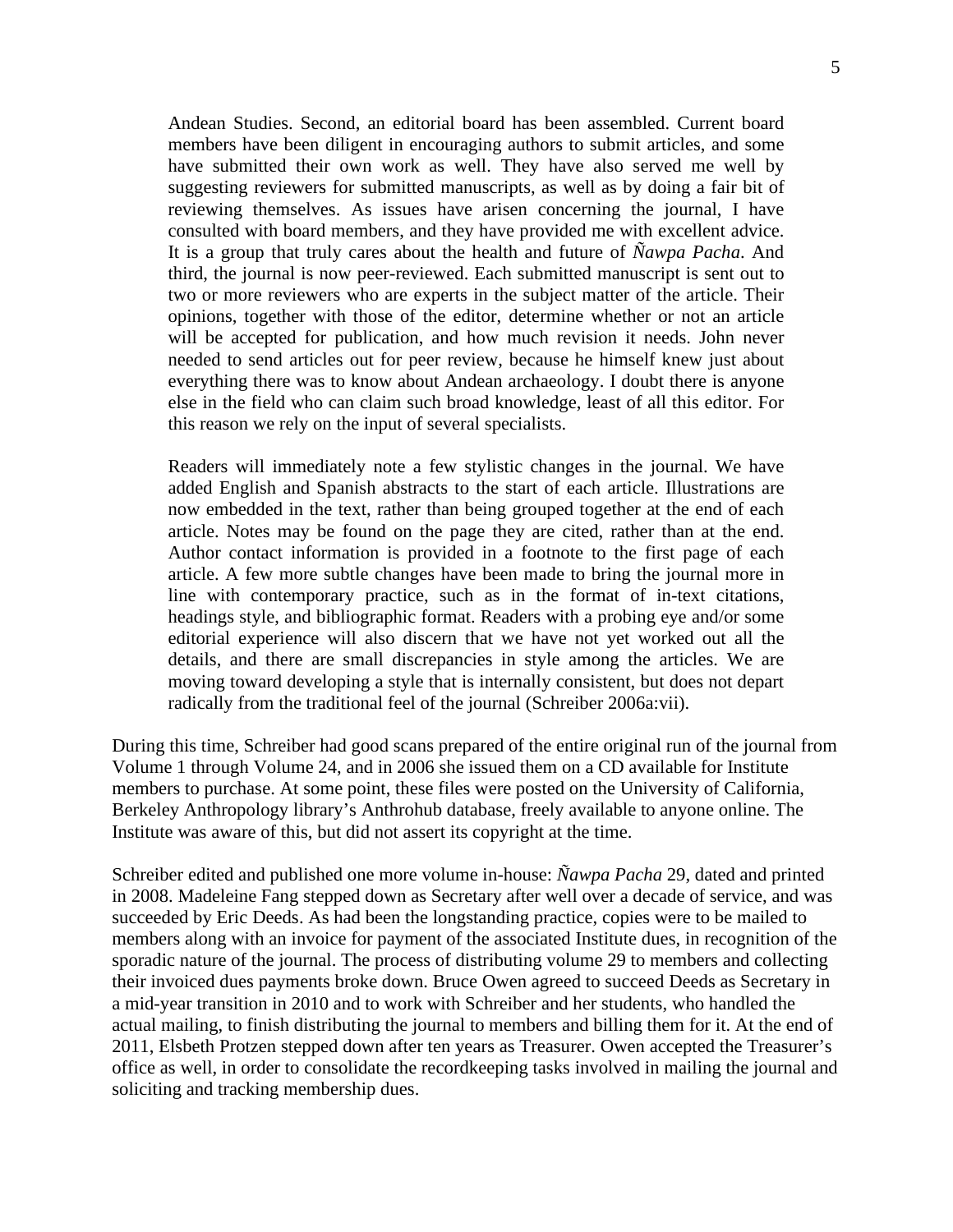Andean Studies. Second, an editorial board has been assembled. Current board members have been diligent in encouraging authors to submit articles, and some have submitted their own work as well. They have also served me well by suggesting reviewers for submitted manuscripts, as well as by doing a fair bit of reviewing themselves. As issues have arisen concerning the journal, I have consulted with board members, and they have provided me with excellent advice. It is a group that truly cares about the health and future of *Ñawpa Pacha*. And third, the journal is now peer-reviewed. Each submitted manuscript is sent out to two or more reviewers who are experts in the subject matter of the article. Their opinions, together with those of the editor, determine whether or not an article will be accepted for publication, and how much revision it needs. John never needed to send articles out for peer review, because he himself knew just about everything there was to know about Andean archaeology. I doubt there is anyone else in the field who can claim such broad knowledge, least of all this editor. For this reason we rely on the input of several specialists.

Readers will immediately note a few stylistic changes in the journal. We have added English and Spanish abstracts to the start of each article. Illustrations are now embedded in the text, rather than being grouped together at the end of each article. Notes may be found on the page they are cited, rather than at the end. Author contact information is provided in a footnote to the first page of each article. A few more subtle changes have been made to bring the journal more in line with contemporary practice, such as in the format of in-text citations, headings style, and bibliographic format. Readers with a probing eye and/or some editorial experience will also discern that we have not yet worked out all the details, and there are small discrepancies in style among the articles. We are moving toward developing a style that is internally consistent, but does not depart radically from the traditional feel of the journal (Schreiber 2006a:vii).

During this time, Schreiber had good scans prepared of the entire original run of the journal from Volume 1 through Volume 24, and in 2006 she issued them on a CD available for Institute members to purchase. At some point, these files were posted on the University of California, Berkeley Anthropology library's Anthrohub database, freely available to anyone online. The Institute was aware of this, but did not assert its copyright at the time.

Schreiber edited and published one more volume in-house: *Ñawpa Pacha* 29, dated and printed in 2008. Madeleine Fang stepped down as Secretary after well over a decade of service, and was succeeded by Eric Deeds. As had been the longstanding practice, copies were to be mailed to members along with an invoice for payment of the associated Institute dues, in recognition of the sporadic nature of the journal. The process of distributing volume 29 to members and collecting their invoiced dues payments broke down. Bruce Owen agreed to succeed Deeds as Secretary in a mid-year transition in 2010 and to work with Schreiber and her students, who handled the actual mailing, to finish distributing the journal to members and billing them for it. At the end of 2011, Elsbeth Protzen stepped down after ten years as Treasurer. Owen accepted the Treasurer's office as well, in order to consolidate the recordkeeping tasks involved in mailing the journal and soliciting and tracking membership dues.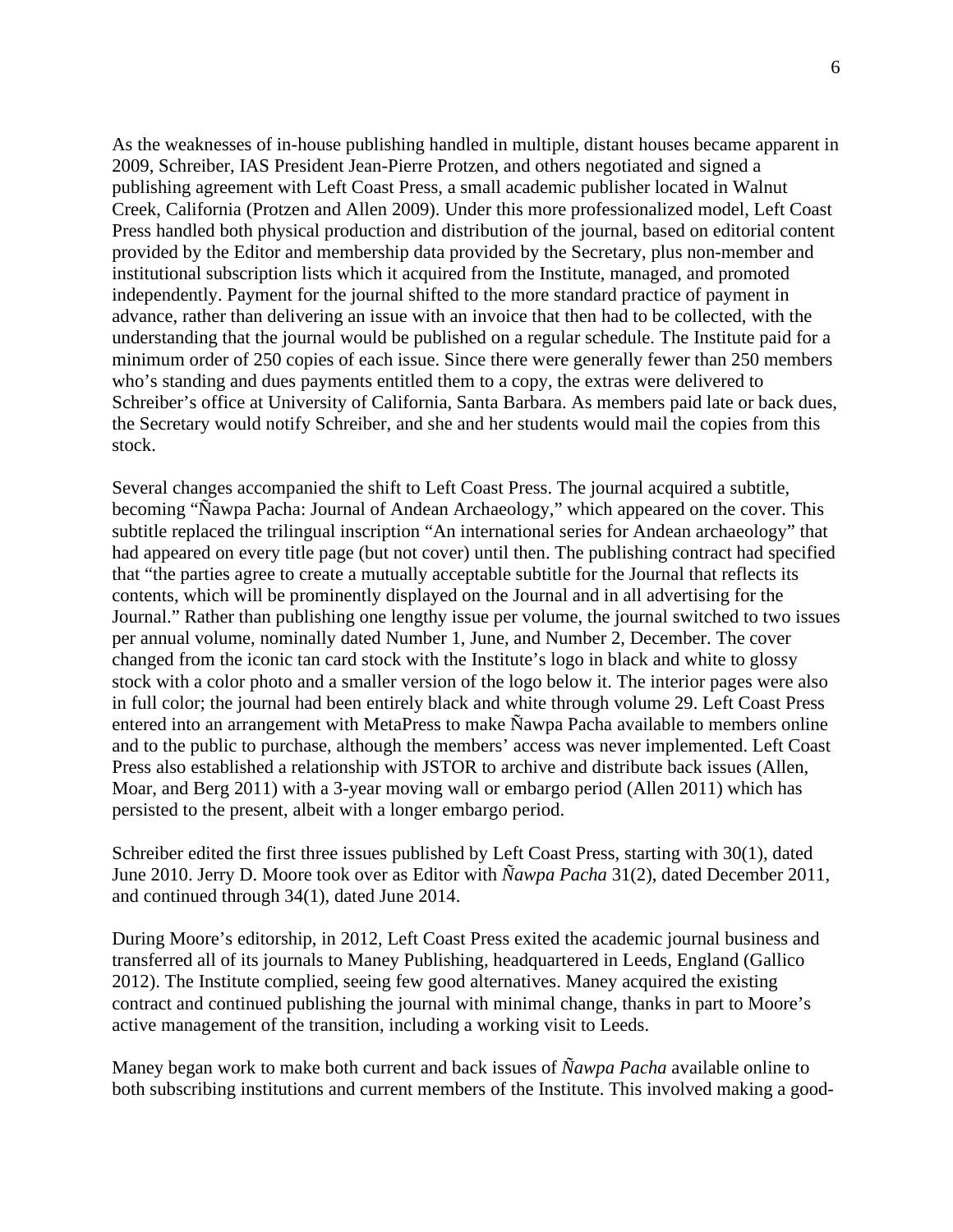As the weaknesses of in-house publishing handled in multiple, distant houses became apparent in 2009, Schreiber, IAS President Jean-Pierre Protzen, and others negotiated and signed a publishing agreement with Left Coast Press, a small academic publisher located in Walnut Creek, California (Protzen and Allen 2009). Under this more professionalized model, Left Coast Press handled both physical production and distribution of the journal, based on editorial content provided by the Editor and membership data provided by the Secretary, plus non-member and institutional subscription lists which it acquired from the Institute, managed, and promoted independently. Payment for the journal shifted to the more standard practice of payment in advance, rather than delivering an issue with an invoice that then had to be collected, with the understanding that the journal would be published on a regular schedule. The Institute paid for a minimum order of 250 copies of each issue. Since there were generally fewer than 250 members who's standing and dues payments entitled them to a copy, the extras were delivered to Schreiber's office at University of California, Santa Barbara. As members paid late or back dues, the Secretary would notify Schreiber, and she and her students would mail the copies from this stock.

Several changes accompanied the shift to Left Coast Press. The journal acquired a subtitle, becoming "Ñawpa Pacha: Journal of Andean Archaeology," which appeared on the cover. This subtitle replaced the trilingual inscription "An international series for Andean archaeology" that had appeared on every title page (but not cover) until then. The publishing contract had specified that "the parties agree to create a mutually acceptable subtitle for the Journal that reflects its contents, which will be prominently displayed on the Journal and in all advertising for the Journal." Rather than publishing one lengthy issue per volume, the journal switched to two issues per annual volume, nominally dated Number 1, June, and Number 2, December. The cover changed from the iconic tan card stock with the Institute's logo in black and white to glossy stock with a color photo and a smaller version of the logo below it. The interior pages were also in full color; the journal had been entirely black and white through volume 29. Left Coast Press entered into an arrangement with MetaPress to make Ñawpa Pacha available to members online and to the public to purchase, although the members' access was never implemented. Left Coast Press also established a relationship with JSTOR to archive and distribute back issues (Allen, Moar, and Berg 2011) with a 3-year moving wall or embargo period (Allen 2011) which has persisted to the present, albeit with a longer embargo period.

Schreiber edited the first three issues published by Left Coast Press, starting with 30(1), dated June 2010. Jerry D. Moore took over as Editor with *Ñawpa Pacha* 31(2), dated December 2011, and continued through 34(1), dated June 2014.

During Moore's editorship, in 2012, Left Coast Press exited the academic journal business and transferred all of its journals to Maney Publishing, headquartered in Leeds, England (Gallico 2012). The Institute complied, seeing few good alternatives. Maney acquired the existing contract and continued publishing the journal with minimal change, thanks in part to Moore's active management of the transition, including a working visit to Leeds.

Maney began work to make both current and back issues of *Ñawpa Pacha* available online to both subscribing institutions and current members of the Institute. This involved making a good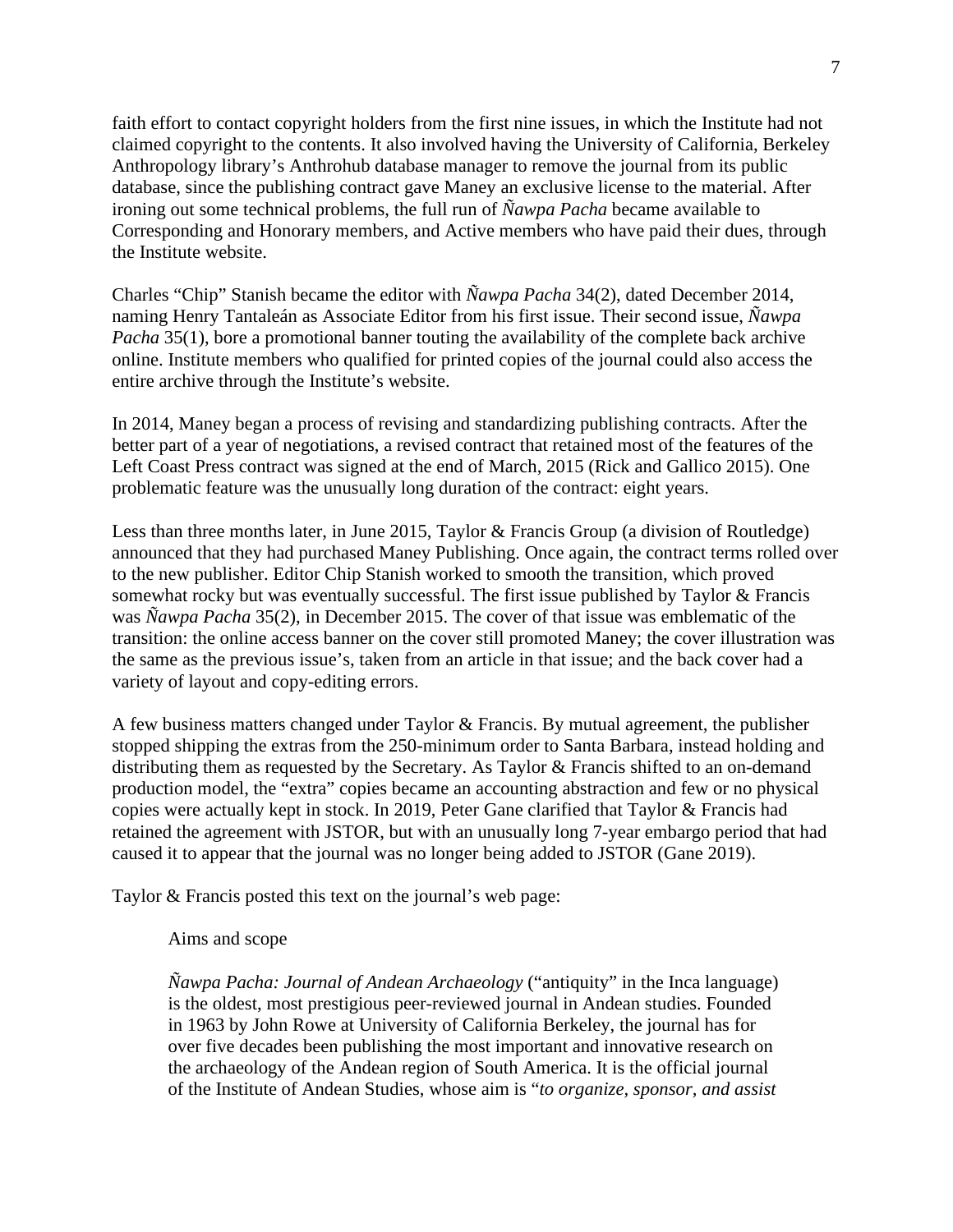faith effort to contact copyright holders from the first nine issues, in which the Institute had not claimed copyright to the contents. It also involved having the University of California, Berkeley Anthropology library's Anthrohub database manager to remove the journal from its public database, since the publishing contract gave Maney an exclusive license to the material. After ironing out some technical problems, the full run of *Ñawpa Pacha* became available to Corresponding and Honorary members, and Active members who have paid their dues, through the Institute website.

Charles "Chip" Stanish became the editor with *Ñawpa Pacha* 34(2), dated December 2014, naming Henry Tantaleán as Associate Editor from his first issue. Their second issue, *Ñawpa Pacha* 35(1), bore a promotional banner touting the availability of the complete back archive online. Institute members who qualified for printed copies of the journal could also access the entire archive through the Institute's website.

In 2014, Maney began a process of revising and standardizing publishing contracts. After the better part of a year of negotiations, a revised contract that retained most of the features of the Left Coast Press contract was signed at the end of March, 2015 (Rick and Gallico 2015). One problematic feature was the unusually long duration of the contract: eight years.

Less than three months later, in June 2015, Taylor & Francis Group (a division of Routledge) announced that they had purchased Maney Publishing. Once again, the contract terms rolled over to the new publisher. Editor Chip Stanish worked to smooth the transition, which proved somewhat rocky but was eventually successful. The first issue published by Taylor & Francis was *Ñawpa Pacha* 35(2), in December 2015. The cover of that issue was emblematic of the transition: the online access banner on the cover still promoted Maney; the cover illustration was the same as the previous issue's, taken from an article in that issue; and the back cover had a variety of layout and copy-editing errors.

A few business matters changed under Taylor & Francis. By mutual agreement, the publisher stopped shipping the extras from the 250-minimum order to Santa Barbara, instead holding and distributing them as requested by the Secretary. As Taylor & Francis shifted to an on-demand production model, the "extra" copies became an accounting abstraction and few or no physical copies were actually kept in stock. In 2019, Peter Gane clarified that Taylor & Francis had retained the agreement with JSTOR, but with an unusually long 7-year embargo period that had caused it to appear that the journal was no longer being added to JSTOR (Gane 2019).

Taylor & Francis posted this text on the journal's web page:

#### Aims and scope

*Ñawpa Pacha: Journal of Andean Archaeology* ("antiquity" in the Inca language) is the oldest, most prestigious peer-reviewed journal in Andean studies. Founded in 1963 by John Rowe at University of California Berkeley, the journal has for over five decades been publishing the most important and innovative research on the archaeology of the Andean region of South America. It is the official journal of the Institute of Andean Studies, whose aim is "*to organize, sponsor, and assist*